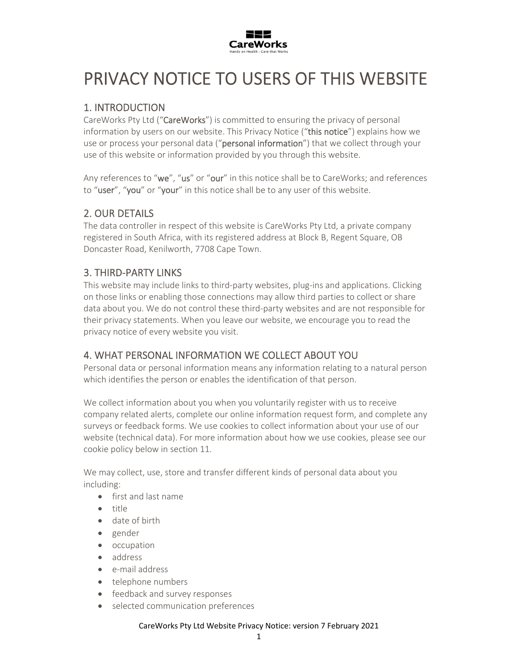

# PRIVACY NOTICE TO USERS OF THIS WEBSITE

# 1. INTRODUCTION

CareWorks Pty Ltd ("CareWorks") is committed to ensuring the privacy of personal information by users on our website. This Privacy Notice ("this notice") explains how we use or process your personal data ("personal information") that we collect through your use of this website or information provided by you through this website.

Any references to "we", "us" or "our" in this notice shall be to CareWorks; and references to "user", "you" or "your" in this notice shall be to any user of this website.

## 2. OUR DETAILS

The data controller in respect of this website is CareWorks Pty Ltd, a private company registered in South Africa, with its registered address at Block B, Regent Square, OB Doncaster Road, Kenilworth, 7708 Cape Town.

## 3. THIRD‐PARTY LINKS

This website may include links to third-party websites, plug-ins and applications. Clicking on those links or enabling those connections may allow third parties to collect or share data about you. We do not control these third‐party websites and are not responsible for their privacy statements. When you leave our website, we encourage you to read the privacy notice of every website you visit.

## 4. WHAT PERSONAL INFORMATION WE COLLECT ABOUT YOU

Personal data or personal information means any information relating to a natural person which identifies the person or enables the identification of that person.

We collect information about you when you voluntarily register with us to receive company related alerts, complete our online information request form, and complete any surveys or feedback forms. We use cookies to collect information about your use of our website (technical data). For more information about how we use cookies, please see our cookie policy below in section 11.

We may collect, use, store and transfer different kinds of personal data about you including:

- first and last name
- $\bullet$  title
- date of birth
- gender
- occupation
- address
- e‐mail address
- telephone numbers
- feedback and survey responses
- selected communication preferences

CareWorks Pty Ltd Website Privacy Notice: version 7 February 2021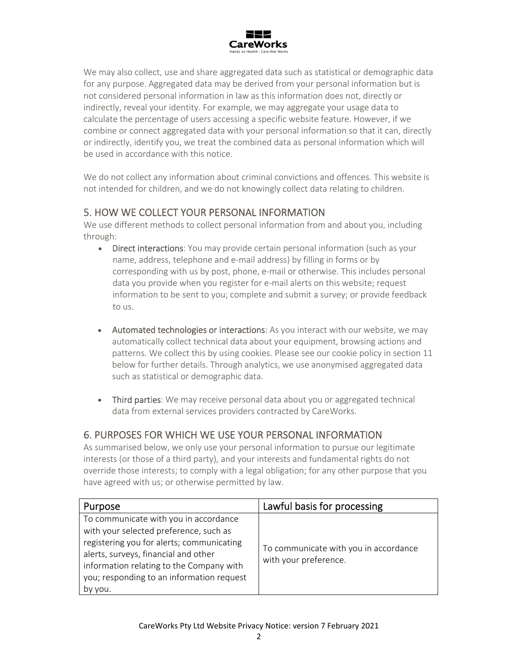

We may also collect, use and share aggregated data such as statistical or demographic data for any purpose. Aggregated data may be derived from your personal information but is not considered personal information in law as this information does not, directly or indirectly, reveal your identity. For example, we may aggregate your usage data to calculate the percentage of users accessing a specific website feature. However, if we combine or connect aggregated data with your personal information so that it can, directly or indirectly, identify you, we treat the combined data as personal information which will be used in accordance with this notice.

We do not collect any information about criminal convictions and offences. This website is not intended for children, and we do not knowingly collect data relating to children.

## 5. HOW WE COLLECT YOUR PERSONAL INFORMATION

We use different methods to collect personal information from and about you, including through:

- Direct interactions: You may provide certain personal information (such as your name, address, telephone and e‐mail address) by filling in forms or by corresponding with us by post, phone, e‐mail or otherwise. This includes personal data you provide when you register for e‐mail alerts on this website; request information to be sent to you; complete and submit a survey; or provide feedback to us.
- Automated technologies or interactions: As you interact with our website, we may automatically collect technical data about your equipment, browsing actions and patterns. We collect this by using cookies. Please see our cookie policy in section 11 below for further details. Through analytics, we use anonymised aggregated data such as statistical or demographic data.
- Third parties: We may receive personal data about you or aggregated technical data from external services providers contracted by CareWorks.

## 6. PURPOSES FOR WHICH WE USE YOUR PERSONAL INFORMATION

As summarised below, we only use your personal information to pursue our legitimate interests (or those of a third party), and your interests and fundamental rights do not override those interests; to comply with a legal obligation; for any other purpose that you have agreed with us; or otherwise permitted by law.

| Purpose                                                                                                                                                                                                                                                                  | Lawful basis for processing                                    |
|--------------------------------------------------------------------------------------------------------------------------------------------------------------------------------------------------------------------------------------------------------------------------|----------------------------------------------------------------|
| To communicate with you in accordance<br>with your selected preference, such as<br>registering you for alerts; communicating<br>alerts, surveys, financial and other<br>information relating to the Company with<br>you; responding to an information request<br>by you. | To communicate with you in accordance<br>with your preference. |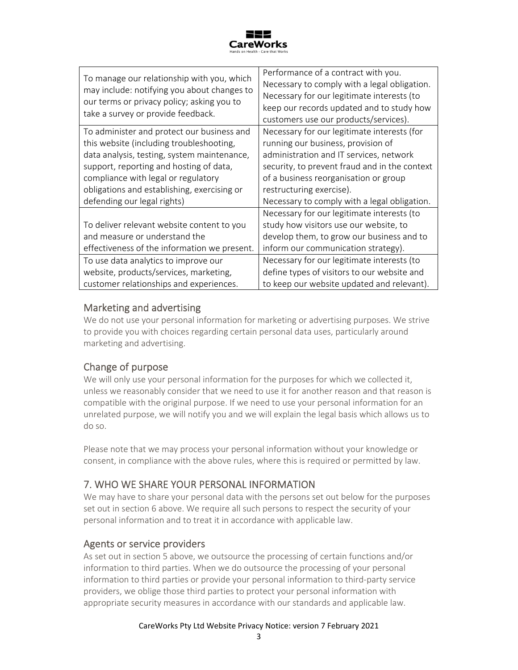

| To manage our relationship with you, which<br>may include: notifying you about changes to<br>our terms or privacy policy; asking you to<br>take a survey or provide feedback.                                                                                                                         | Performance of a contract with you.<br>Necessary to comply with a legal obligation.<br>Necessary for our legitimate interests (to<br>keep our records updated and to study how<br>customers use our products/services).                                                                                             |
|-------------------------------------------------------------------------------------------------------------------------------------------------------------------------------------------------------------------------------------------------------------------------------------------------------|---------------------------------------------------------------------------------------------------------------------------------------------------------------------------------------------------------------------------------------------------------------------------------------------------------------------|
| To administer and protect our business and<br>this website (including troubleshooting,<br>data analysis, testing, system maintenance,<br>support, reporting and hosting of data,<br>compliance with legal or regulatory<br>obligations and establishing, exercising or<br>defending our legal rights) | Necessary for our legitimate interests (for<br>running our business, provision of<br>administration and IT services, network<br>security, to prevent fraud and in the context<br>of a business reorganisation or group<br>restructuring exercise).<br>Necessary to comply with a legal obligation.                  |
| To deliver relevant website content to you<br>and measure or understand the<br>effectiveness of the information we present.<br>To use data analytics to improve our<br>website, products/services, marketing,<br>customer relationships and experiences.                                              | Necessary for our legitimate interests (to<br>study how visitors use our website, to<br>develop them, to grow our business and to<br>inform our communication strategy).<br>Necessary for our legitimate interests (to<br>define types of visitors to our website and<br>to keep our website updated and relevant). |

## Marketing and advertising

We do not use your personal information for marketing or advertising purposes. We strive to provide you with choices regarding certain personal data uses, particularly around marketing and advertising.

## Change of purpose

We will only use your personal information for the purposes for which we collected it, unless we reasonably consider that we need to use it for another reason and that reason is compatible with the original purpose. If we need to use your personal information for an unrelated purpose, we will notify you and we will explain the legal basis which allows us to do so.

Please note that we may process your personal information without your knowledge or consent, in compliance with the above rules, where this is required or permitted by law.

## 7. WHO WE SHARE YOUR PERSONAL INFORMATION

We may have to share your personal data with the persons set out below for the purposes set out in section 6 above. We require all such persons to respect the security of your personal information and to treat it in accordance with applicable law.

## Agents or service providers

As set out in section 5 above, we outsource the processing of certain functions and/or information to third parties. When we do outsource the processing of your personal information to third parties or provide your personal information to third‐party service providers, we oblige those third parties to protect your personal information with appropriate security measures in accordance with our standards and applicable law.

#### CareWorks Pty Ltd Website Privacy Notice: version 7 February 2021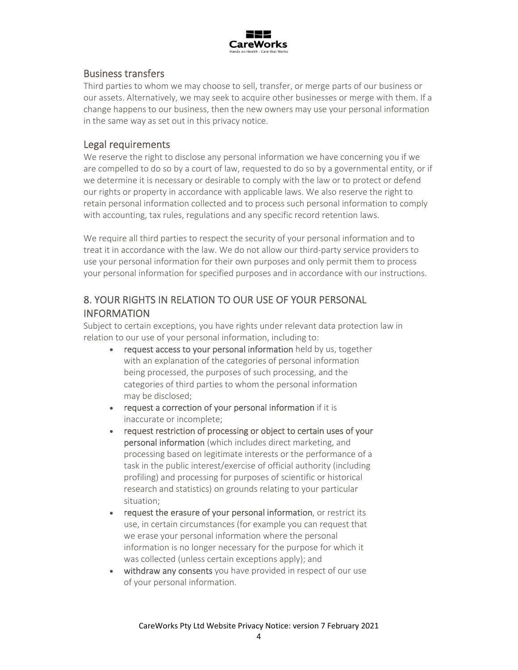

## Business transfers

Third parties to whom we may choose to sell, transfer, or merge parts of our business or our assets. Alternatively, we may seek to acquire other businesses or merge with them. If a change happens to our business, then the new owners may use your personal information in the same way as set out in this privacy notice.

#### Legal requirements

We reserve the right to disclose any personal information we have concerning you if we are compelled to do so by a court of law, requested to do so by a governmental entity, or if we determine it is necessary or desirable to comply with the law or to protect or defend our rights or property in accordance with applicable laws. We also reserve the right to retain personal information collected and to process such personal information to comply with accounting, tax rules, regulations and any specific record retention laws.

We require all third parties to respect the security of your personal information and to treat it in accordance with the law. We do not allow our third‐party service providers to use your personal information for their own purposes and only permit them to process your personal information for specified purposes and in accordance with our instructions.

## 8. YOUR RIGHTS IN RELATION TO OUR USE OF YOUR PERSONAL INFORMATION

Subject to certain exceptions, you have rights under relevant data protection law in relation to our use of your personal information, including to:

- request access to your personal information held by us, together with an explanation of the categories of personal information being processed, the purposes of such processing, and the categories of third parties to whom the personal information may be disclosed;
- request a correction of your personal information if it is inaccurate or incomplete;
- request restriction of processing or object to certain uses of your personal information (which includes direct marketing, and processing based on legitimate interests or the performance of a task in the public interest/exercise of official authority (including profiling) and processing for purposes of scientific or historical research and statistics) on grounds relating to your particular situation;
- request the erasure of your personal information, or restrict its use, in certain circumstances (for example you can request that we erase your personal information where the personal information is no longer necessary for the purpose for which it was collected (unless certain exceptions apply); and
- withdraw any consents you have provided in respect of our use of your personal information.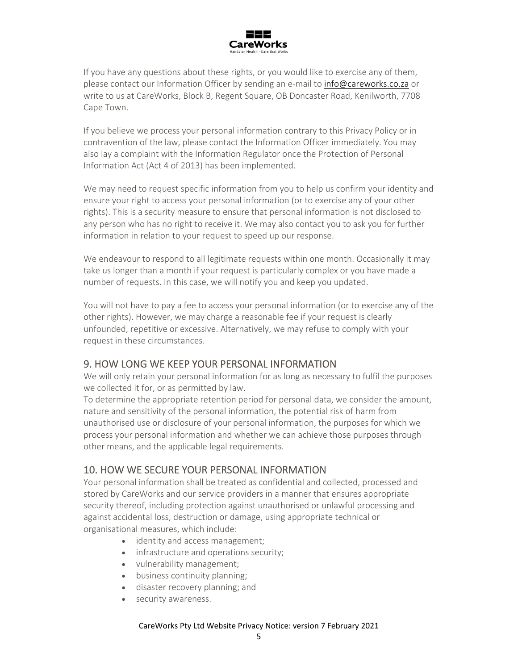

If you have any questions about these rights, or you would like to exercise any of them, please contact our Information Officer by sending an e-mail to info@careworks.co.za or write to us at CareWorks, Block B, Regent Square, OB Doncaster Road, Kenilworth, 7708 Cape Town.

If you believe we process your personal information contrary to this Privacy Policy or in contravention of the law, please contact the Information Officer immediately. You may also lay a complaint with the Information Regulator once the Protection of Personal Information Act (Act 4 of 2013) has been implemented.

We may need to request specific information from you to help us confirm your identity and ensure your right to access your personal information (or to exercise any of your other rights). This is a security measure to ensure that personal information is not disclosed to any person who has no right to receive it. We may also contact you to ask you for further information in relation to your request to speed up our response.

We endeavour to respond to all legitimate requests within one month. Occasionally it may take us longer than a month if your request is particularly complex or you have made a number of requests. In this case, we will notify you and keep you updated.

You will not have to pay a fee to access your personal information (or to exercise any of the other rights). However, we may charge a reasonable fee if your request is clearly unfounded, repetitive or excessive. Alternatively, we may refuse to comply with your request in these circumstances.

## 9. HOW LONG WE KEEP YOUR PERSONAL INFORMATION

We will only retain your personal information for as long as necessary to fulfil the purposes we collected it for, or as permitted by law.

To determine the appropriate retention period for personal data, we consider the amount, nature and sensitivity of the personal information, the potential risk of harm from unauthorised use or disclosure of your personal information, the purposes for which we process your personal information and whether we can achieve those purposes through other means, and the applicable legal requirements.

## 10. HOW WE SECURE YOUR PERSONAL INFORMATION

Your personal information shall be treated as confidential and collected, processed and stored by CareWorks and our service providers in a manner that ensures appropriate security thereof, including protection against unauthorised or unlawful processing and against accidental loss, destruction or damage, using appropriate technical or organisational measures, which include:

- identity and access management;
- infrastructure and operations security;
- vulnerability management;
- business continuity planning;
- disaster recovery planning; and
- security awareness.

#### CareWorks Pty Ltd Website Privacy Notice: version 7 February 2021